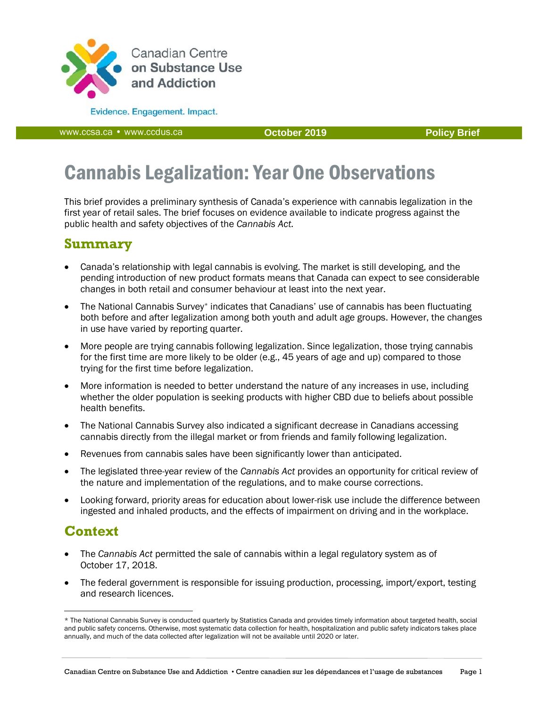

**Evidence.** Engagement. Impact.

www.ccsa.ca • www.ccdus.ca **Policy Brief October 2019 Policy Brief** 

# Cannabis Legalization: Year One Observations

This brief provides a preliminary synthesis of Canada's experience with cannabis legalization in the first year of retail sales. The brief focuses on evidence available to indicate progress against the public health and safety objectives of the *Cannabis Act.* 

# **Summary**

- Canada's relationship with legal cannabis is evolving. The market is still developing, and the pending introduction of new product formats means that Canada can expect to see considerable changes in both retail and consumer behaviour at least into the next year.
- The National Cannabis Survey\* indicates that Canadians' use of cannabis has been fluctuating both before and after legalization among both youth and adult age groups. However, the changes in use have varied by reporting quarter.
- More people are trying cannabis following legalization. Since legalization, those trying cannabis for the first time are more likely to be older (e.g., 45 years of age and up) compared to those trying for the first time before legalization.
- More information is needed to better understand the nature of any increases in use, including whether the older population is seeking products with higher CBD due to beliefs about possible health benefits.
- The National Cannabis Survey also indicated a significant decrease in Canadians accessing cannabis directly from the illegal market or from friends and family following legalization.
- Revenues from cannabis sales have been significantly lower than anticipated.
- The legislated three-year review of the *Cannabis Act* provides an opportunity for critical review of the nature and implementation of the regulations, and to make course corrections.
- Looking forward, priority areas for education about lower-risk use include the difference between ingested and inhaled products, and the effects of impairment on driving and in the workplace.

# **Context**

 $\overline{a}$ 

- The *Cannabis Act* permitted the sale of cannabis within a legal regulatory system as of October 17, 2018.
- The federal government is responsible for issuing production, processing, import/export, testing and research licences.

<sup>\*</sup> The National Cannabis Survey is conducted quarterly by Statistics Canada and provides timely information about targeted health, social and public safety concerns. Otherwise, most systematic data collection for health, hospitalization and public safety indicators takes place annually, and much of the data collected after legalization will not be available until 2020 or later.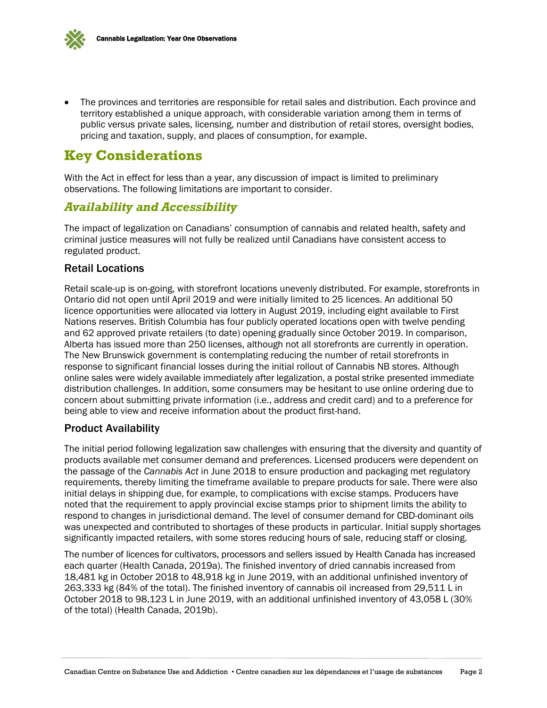

 The provinces and territories are responsible for retail sales and distribution. Each province and territory established a unique approach, with considerable variation among them in terms of public versus private sales, licensing, number and distribution of retail stores, oversight bodies, pricing and taxation, supply, and places of consumption, for example.

# **Key Considerations**

With the Act in effect for less than a year, any discussion of impact is limited to preliminary observations. The following limitations are important to consider.

#### *Availability and Accessibility*

The impact of legalization on Canadians' consumption of cannabis and related health, safety and criminal justice measures will not fully be realized until Canadians have consistent access to regulated product.

#### Retail Locations

Retail scale-up is on-going, with storefront locations unevenly distributed. For example, storefronts in Ontario did not open until April 2019 and were initially limited to 25 licences. An additional 50 licence opportunities were allocated via lottery in August 2019, including eight available to First Nations reserves. British Columbia has four publicly operated locations open with twelve pending and 62 approved private retailers (to date) opening gradually since October 2019. In comparison, Alberta has issued more than 250 licenses, although not all storefronts are currently in operation. The New Brunswick government is contemplating reducing the number of retail storefronts in response to significant financial losses during the initial rollout of Cannabis NB stores. Although online sales were widely available immediately after legalization, a postal strike presented immediate distribution challenges. In addition, some consumers may be hesitant to use online ordering due to concern about submitting private information (i.e., address and credit card) and to a preference for being able to view and receive information about the product first-hand.

#### Product Availability

The initial period following legalization saw challenges with ensuring that the diversity and quantity of products available met consumer demand and preferences. Licensed producers were dependent on the passage of the *Cannabis Act* in June 2018 to ensure production and packaging met regulatory requirements, thereby limiting the timeframe available to prepare products for sale. There were also initial delays in shipping due, for example, to complications with excise stamps. Producers have noted that the requirement to apply provincial excise stamps prior to shipment limits the ability to respond to changes in jurisdictional demand. The level of consumer demand for CBD-dominant oils was unexpected and contributed to shortages of these products in particular. Initial supply shortages significantly impacted retailers, with some stores reducing hours of sale, reducing staff or closing.

The number of licences for cultivators, processors and sellers issued by Health Canada has increased each quarter (Health Canada, 2019a). The finished inventory of dried cannabis increased from 18,481 kg in October 2018 to 48,918 kg in June 2019, with an additional unfinished inventory of 263,333 kg (84% of the total). The finished inventory of cannabis oil increased from 29,511 L in October 2018 to 98,123 L in June 2019, with an additional unfinished inventory of 43,058 L (30% of the total) (Health Canada, 2019b).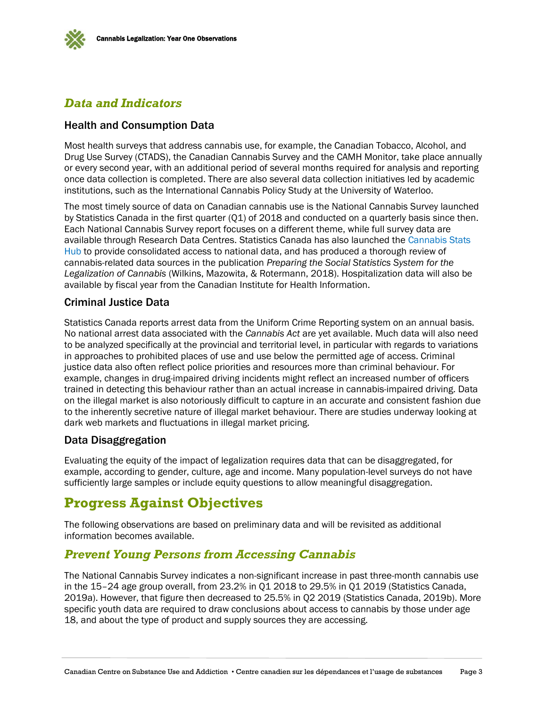

## *Data and Indicators*

#### Health and Consumption Data

Most health surveys that address cannabis use, for example, the Canadian Tobacco, Alcohol, and Drug Use Survey (CTADS), the Canadian Cannabis Survey and the CAMH Monitor, take place annually or every second year, with an additional period of several months required for analysis and reporting once data collection is completed. There are also several data collection initiatives led by academic institutions, such as the International Cannabis Policy Study at the University of Waterloo.

The most timely source of data on Canadian cannabis use is the National Cannabis Survey launched by Statistics Canada in the first quarter (Q1) of 2018 and conducted on a quarterly basis since then. Each National Cannabis Survey report focuses on a different theme, while full survey data are available through Research Data Centres. Statistics Canada has also launched the Cannabis Stats Hub to provide consolidated access to national data, and has produced a thorough review of cannabis-related data sources in the publication *Preparing the Social Statistics System for the Legalization of Cannabis* (Wilkins, Mazowita, & Rotermann, 2018). Hospitalization data will also be available by fiscal year from the Canadian Institute for Health Information.

#### Criminal Justice Data

Statistics Canada reports arrest data from the Uniform Crime Reporting system on an annual basis. No national arrest data associated with the *Cannabis Act* are yet available. Much data will also need to be analyzed specifically at the provincial and territorial level, in particular with regards to variations in approaches to prohibited places of use and use below the permitted age of access. Criminal justice data also often reflect police priorities and resources more than criminal behaviour. For example, changes in drug-impaired driving incidents might reflect an increased number of officers trained in detecting this behaviour rather than an actual increase in cannabis-impaired driving. Data on the illegal market is also notoriously difficult to capture in an accurate and consistent fashion due to the inherently secretive nature of illegal market behaviour. There are studies underway looking at dark web markets and fluctuations in illegal market pricing.

#### Data Disaggregation

Evaluating the equity of the impact of legalization requires data that can be disaggregated, for example, according to gender, culture, age and income. Many population-level surveys do not have sufficiently large samples or include equity questions to allow meaningful disaggregation.

# **Progress Against Objectives**

The following observations are based on preliminary data and will be revisited as additional information becomes available.

## *Prevent Young Persons from Accessing Cannabis*

The National Cannabis Survey indicates a non-significant increase in past three-month cannabis use in the 15–24 age group overall, from 23.2% in Q1 2018 to 29.5% in Q1 2019 (Statistics Canada, 2019a). However, that figure then decreased to 25.5% in Q2 2019 (Statistics Canada, 2019b). More specific youth data are required to draw conclusions about access to cannabis by those under age 18, and about the type of product and supply sources they are accessing.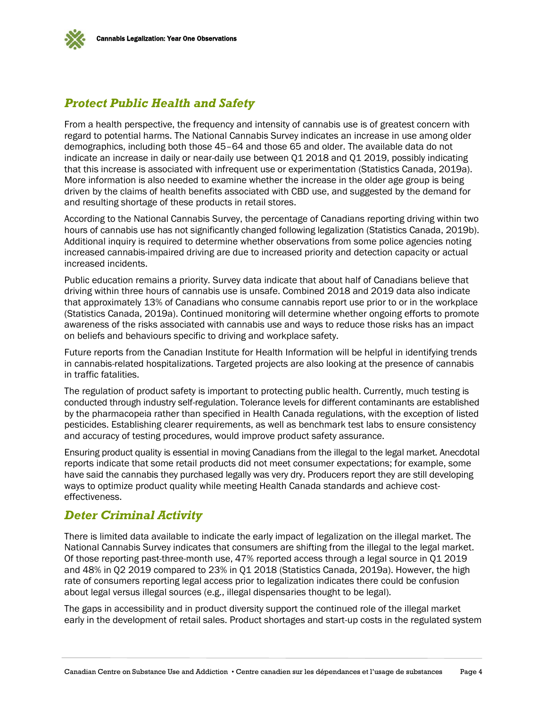

## *Protect Public Health and Safety*

From a health perspective, the frequency and intensity of cannabis use is of greatest concern with regard to potential harms. The National Cannabis Survey indicates an increase in use among older demographics, including both those 45–64 and those 65 and older. The available data do not indicate an increase in daily or near-daily use between Q1 2018 and Q1 2019, possibly indicating that this increase is associated with infrequent use or experimentation (Statistics Canada, 2019a). More information is also needed to examine whether the increase in the older age group is being driven by the claims of health benefits associated with CBD use, and suggested by the demand for and resulting shortage of these products in retail stores.

According to the National Cannabis Survey, the percentage of Canadians reporting driving within two hours of cannabis use has not significantly changed following legalization (Statistics Canada, 2019b). Additional inquiry is required to determine whether observations from some police agencies noting increased cannabis-impaired driving are due to increased priority and detection capacity or actual increased incidents.

Public education remains a priority. Survey data indicate that about half of Canadians believe that driving within three hours of cannabis use is unsafe. Combined 2018 and 2019 data also indicate that approximately 13% of Canadians who consume cannabis report use prior to or in the workplace (Statistics Canada, 2019a). Continued monitoring will determine whether ongoing efforts to promote awareness of the risks associated with cannabis use and ways to reduce those risks has an impact on beliefs and behaviours specific to driving and workplace safety.

Future reports from the Canadian Institute for Health Information will be helpful in identifying trends in cannabis-related hospitalizations. Targeted projects are also looking at the presence of cannabis in traffic fatalities.

The regulation of product safety is important to protecting public health. Currently, much testing is conducted through industry self-regulation. Tolerance levels for different contaminants are established by the pharmacopeia rather than specified in Health Canada regulations, with the exception of listed pesticides. Establishing clearer requirements, as well as benchmark test labs to ensure consistency and accuracy of testing procedures, would improve product safety assurance.

Ensuring product quality is essential in moving Canadians from the illegal to the legal market. Anecdotal reports indicate that some retail products did not meet consumer expectations; for example, some have said the cannabis they purchased legally was very dry. Producers report they are still developing ways to optimize product quality while meeting Health Canada standards and achieve costeffectiveness.

## *Deter Criminal Activity*

There is limited data available to indicate the early impact of legalization on the illegal market. The National Cannabis Survey indicates that consumers are shifting from the illegal to the legal market. Of those reporting past-three-month use, 47% reported access through a legal source in Q1 2019 and 48% in Q2 2019 compared to 23% in Q1 2018 (Statistics Canada, 2019a). However, the high rate of consumers reporting legal access prior to legalization indicates there could be confusion about legal versus illegal sources (e.g., illegal dispensaries thought to be legal).

The gaps in accessibility and in product diversity support the continued role of the illegal market early in the development of retail sales. Product shortages and start-up costs in the regulated system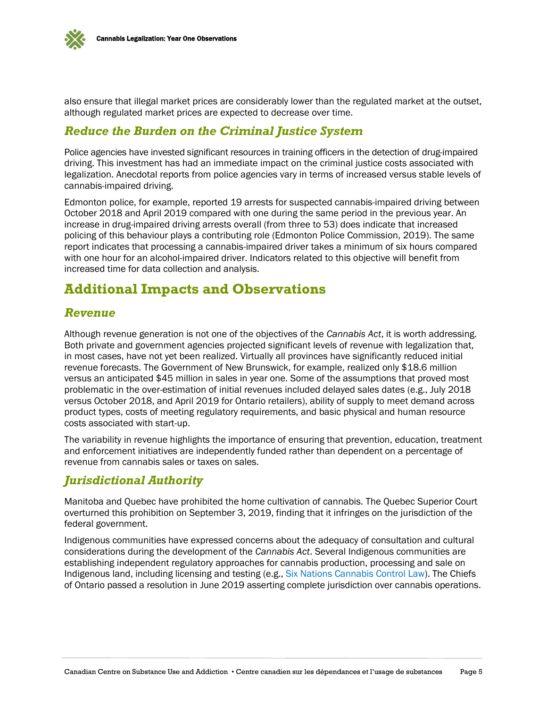

also ensure that illegal market prices are considerably lower than the regulated market at the outset, although regulated market prices are expected to decrease over time.

## *Reduce the Burden on the Criminal Justice System*

Police agencies have invested significant resources in training officers in the detection of drug-impaired driving. This investment has had an immediate impact on the criminal justice costs associated with legalization. Anecdotal reports from police agencies vary in terms of increased versus stable levels of cannabis-impaired driving.

Edmonton police, for example, reported 19 arrests for suspected cannabis-impaired driving between October 2018 and April 2019 compared with one during the same period in the previous year. An increase in drug-impaired driving arrests overall (from three to 53) does indicate that increased policing of this behaviour plays a contributing role (Edmonton Police Commission, 2019). The same report indicates that processing a cannabis-impaired driver takes a minimum of six hours compared with one hour for an alcohol-impaired driver. Indicators related to this objective will benefit from increased time for data collection and analysis.

# **Additional Impacts and Observations**

#### *Revenue*

Although revenue generation is not one of the objectives of the *Cannabis Act*, it is worth addressing. Both private and government agencies projected significant levels of revenue with legalization that, in most cases, have not yet been realized. Virtually all provinces have significantly reduced initial revenue forecasts. The Government of New Brunswick, for example, realized only \$18.6 million versus an anticipated \$45 million in sales in year one. Some of the assumptions that proved most problematic in the over-estimation of initial revenues included delayed sales dates (e.g., July 2018 versus October 2018, and April 2019 for Ontario retailers), ability of supply to meet demand across product types, costs of meeting regulatory requirements, and basic physical and human resource costs associated with start-up.

The variability in revenue highlights the importance of ensuring that prevention, education, treatment and enforcement initiatives are independently funded rather than dependent on a percentage of revenue from cannabis sales or taxes on sales.

## *Jurisdictional Authority*

Manitoba and Quebec have prohibited the home cultivation of cannabis. The Quebec Superior Court overturned this prohibition on September 3, 2019, finding that it infringes on the jurisdiction of the federal government.

Indigenous communities have expressed concerns about the adequacy of consultation and cultural considerations during the development of the *Cannabis Act*. Several Indigenous communities are establishing independent regulatory approaches for cannabis production, processing and sale on Indigenous land, including licensing and testing (e.g., Six Nations Cannabis Control Law). The Chiefs of Ontario passed a resolution in June 2019 asserting complete jurisdiction over cannabis operations.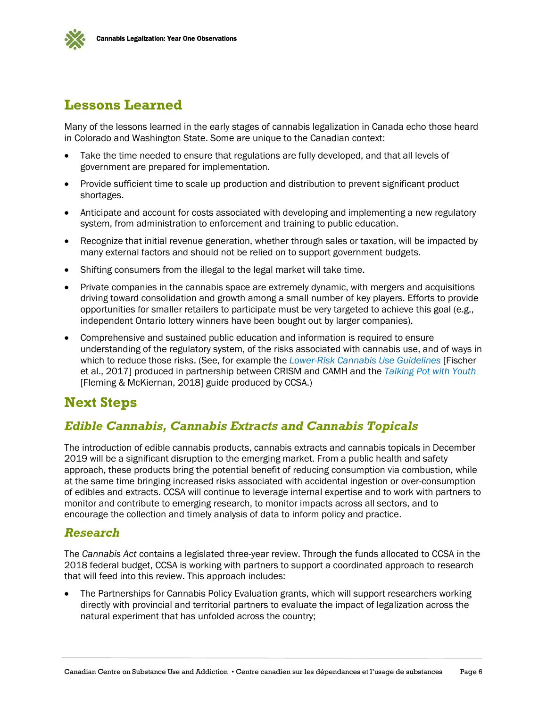

# **Lessons Learned**

Many of the lessons learned in the early stages of cannabis legalization in Canada echo those heard in Colorado and Washington State. Some are unique to the Canadian context:

- Take the time needed to ensure that regulations are fully developed, and that all levels of government are prepared for implementation.
- Provide sufficient time to scale up production and distribution to prevent significant product shortages.
- Anticipate and account for costs associated with developing and implementing a new regulatory system, from administration to enforcement and training to public education.
- Recognize that initial revenue generation, whether through sales or taxation, will be impacted by many external factors and should not be relied on to support government budgets.
- Shifting consumers from the illegal to the legal market will take time.
- Private companies in the cannabis space are extremely dynamic, with mergers and acquisitions driving toward consolidation and growth among a small number of key players. Efforts to provide opportunities for smaller retailers to participate must be very targeted to achieve this goal (e.g., independent Ontario lottery winners have been bought out by larger companies).
- Comprehensive and sustained public education and information is required to ensure understanding of the regulatory system, of the risks associated with cannabis use, and of ways in which to reduce those risks. (See, for example the *Lower-Risk Cannabis Use Guidelines* [Fischer et al., 2017] produced in partnership between CRISM and CAMH and the *Talking Pot with Youth* [Fleming & McKiernan, 2018] guide produced by CCSA.)

# **Next Steps**

## *Edible Cannabis, Cannabis Extracts and Cannabis Topicals*

The introduction of edible cannabis products, cannabis extracts and cannabis topicals in December 2019 will be a significant disruption to the emerging market. From a public health and safety approach, these products bring the potential benefit of reducing consumption via combustion, while at the same time bringing increased risks associated with accidental ingestion or over-consumption of edibles and extracts. CCSA will continue to leverage internal expertise and to work with partners to monitor and contribute to emerging research, to monitor impacts across all sectors, and to encourage the collection and timely analysis of data to inform policy and practice.

#### *Research*

The *Cannabis Act* contains a legislated three-year review. Through the funds allocated to CCSA in the 2018 federal budget, CCSA is working with partners to support a coordinated approach to research that will feed into this review. This approach includes:

 The Partnerships for Cannabis Policy Evaluation grants, which will support researchers working directly with provincial and territorial partners to evaluate the impact of legalization across the natural experiment that has unfolded across the country;